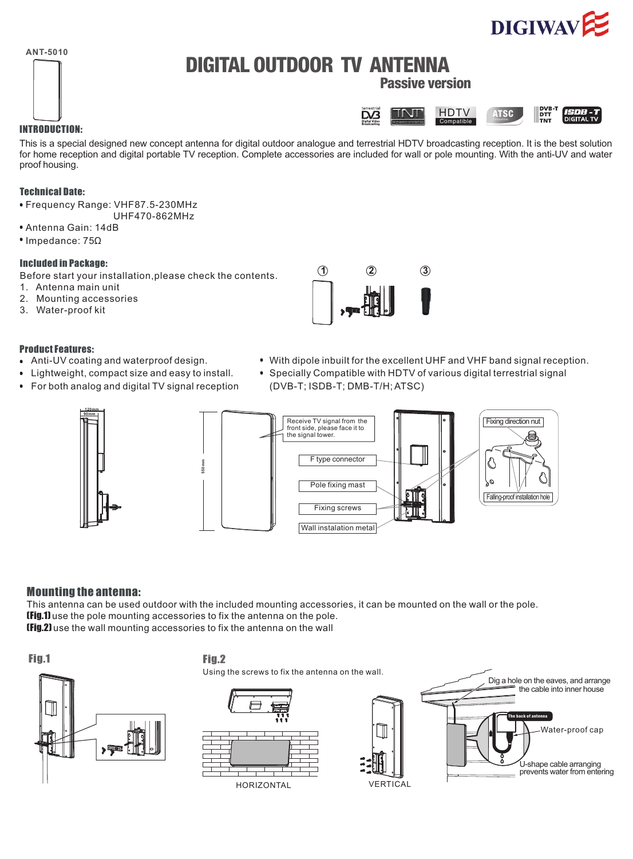### **ANT-5010**

# **DIGITAL OUTDOOR TV ANTENNA**

**Passive version**



#### INTRODUCTION:

This is a special designed new concept antenna for digital outdoor analogue and terrestrial HDTV broadcasting reception. It is the best solution for home reception and digital portable TV reception. Complete accessories are included for wall or pole mounting. With the anti-UV and water proof housing.

#### Technical Date:

- Frequency Range: VHF87.5-230MHz
- UHF470-862MHz
- Antenna Gain: 14dB
- <sup>•</sup> Impedance: 75Ω

#### Included in Package:

Before start your installation,please check the contents.

- 1. Antenna main unit
- 2. Mounting accessories
- 3. Water-proof kit

#### Product Features:

- Anti-UV coating and waterproof design.
- Lightweight, compact size and easy to install.
- For both analog and digital TV signal reception
- With dipole inbuilt for the excellent UHF and VHF band signal reception.
- Specially Compatible with HDTV of various digital terrestrial signal (DVB-T; ISDB-T; DMB-T/H; ATSC)



### Mounting the antenna:

T his antenna can be used outdoor with the included mounting accessories, it can be mounted on the wall or the pole. IFig.1) use the pole mounting accessories to fix the antenna on the pole. (Fig.2) use the wall mounting accessories to fix the antenna on the wall

## Fig.1 Fig.2

Using the screws to fix the antenna on the wall.